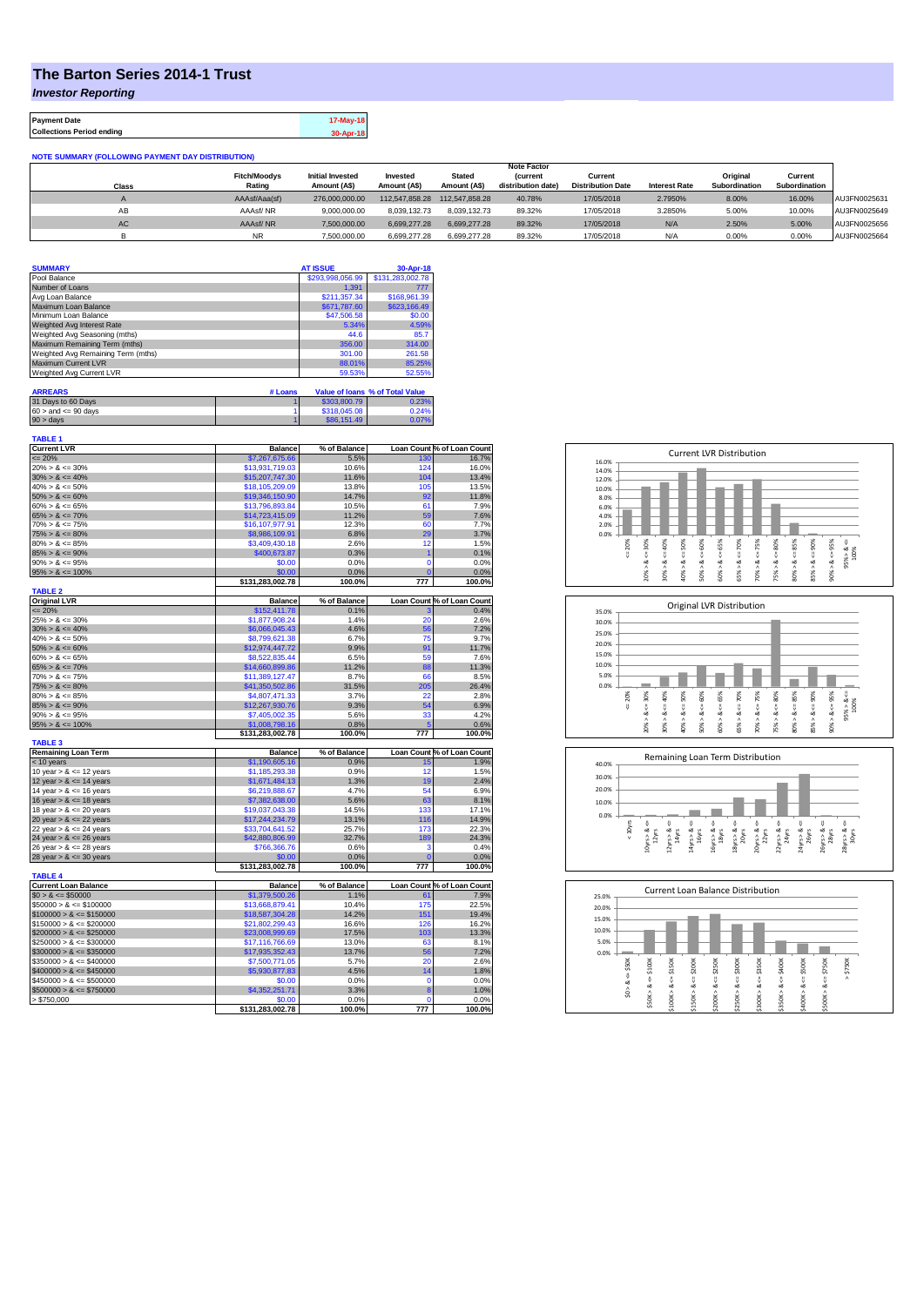## **The Barton Series 2014-1 Trust**

*Investor Reporting*

**Payment Date 17-May-18 Collections Period ending 30-Apr-18**

| <b>NOTE SUMMARY (FOLLOWING PAYMENT DAY DISTRIBUTION)</b> |                     |                         |                |                |                    |                          |                      |               |               |              |
|----------------------------------------------------------|---------------------|-------------------------|----------------|----------------|--------------------|--------------------------|----------------------|---------------|---------------|--------------|
|                                                          |                     |                         |                |                | <b>Note Factor</b> |                          |                      |               |               |              |
|                                                          | <b>Fitch/Moodvs</b> | <b>Initial Invested</b> | Invested       | <b>Stated</b>  | <b>Current</b>     | Current                  |                      | Original      | Current       |              |
| Class                                                    | Rating              | Amount (A\$)            | Amount (A\$)   | Amount (A\$)   | distribution date) | <b>Distribution Date</b> | <b>Interest Rate</b> | Subordination | Subordination |              |
|                                                          | AAAsf/Aaa(sf)       | 276,000,000.00          | 112.547.858.28 | 112.547.858.28 | 40.78%             | 17/05/2018               | 2.7950%              | 8.00%         | 16.00%        | AU3FN0025631 |
| AB                                                       | AAAsf/NR            | 9.000.000.00            | 8.039.132.73   | 8.039.132.73   | 89.32%             | 17/05/2018               | 3.2850%              | 5.00%         | 10.00%        | AU3FN0025649 |
| <b>AC</b>                                                | AAAsf/NR            | 7,500,000.00            | 6.699.277.28   | 6.699.277.28   | 89.32%             | 17/05/2018               | N/A                  | 2.50%         | 5.00%         | AU3FN0025656 |
|                                                          | <b>NR</b>           | 7.500.000.00            | 6.699.277.28   | 6.699.277.28   | 89.32%             | 17/05/2018               | N/A                  | 0.00%         | 0.00%         | AU3FN0025664 |

| <b>SUMMARY</b>                     | <b>AT ISSUE</b>  | 30-Apr-18        |
|------------------------------------|------------------|------------------|
| Pool Balance                       | \$293,998,056.99 | \$131,283,002.78 |
| Number of Loans                    | 1.391            | 777              |
| Avg Loan Balance                   | \$211,357.34     | \$168,961.39     |
| Maximum Loan Balance               | \$671,787.60     | \$623,166.49     |
| Minimum Loan Balance               | \$47,506.58      | \$0.00           |
| Weighted Avg Interest Rate         | 5.34%            | 4.59%            |
| Weighted Avg Seasoning (mths)      | 44.6             | 85.7             |
| Maximum Remaining Term (mths)      | 356.00           | 314.00           |
| Weighted Avg Remaining Term (mths) | 301.00           | 261.58           |
| <b>Maximum Current LVR</b>         | 88.01%           | 85.25%           |
| Weighted Avg Current LVR           | 59.53%           | 52.55%           |

| <b>ARREARS</b>            | # Loans |              | Value of Ioans % of Total Value |
|---------------------------|---------|--------------|---------------------------------|
| 31 Days to 60 Days        |         | \$303,800.79 | 0.23%                           |
| $60 >$ and $\leq 90$ days |         | \$318,045.08 | 0.24%                           |
| $90 >$ days               |         | \$86,151.49  | 0.07%                           |

| <b>TABLE 1</b><br><b>Current LVR</b>       | <b>Balance</b>                     | % of Balance   |                | Loan Count % of Loan Count |
|--------------------------------------------|------------------------------------|----------------|----------------|----------------------------|
| $= 20%$                                    | \$7,267,675.66                     | 5.5%           | 130            | 16.7%                      |
| $20\% > 8 \le 30\%$                        | \$13,931,719.03                    | 10.6%          | 124            | 16.0%                      |
| $30\% > 8 \le 40\%$                        | \$15,207,747.30                    | 11.6%          | 104            | 13.4%                      |
| $40\% > 8 \le 50\%$                        | \$18,105,209.09                    | 13.8%          | 105            | 13.5%                      |
| $50\% > 8 \le 60\%$                        | \$19,346,150.90                    | 14.7%          | 92             | 11.8%                      |
| $60\% > 8 \le 65\%$                        | \$13,796,893.84                    | 10.5%          | 61             | 7.9%                       |
| $65\% > 8 \le 70\%$                        | \$14,723,415.09                    | 11.2%          | 59             | 7.6%                       |
| $70\% > 8 \le 75\%$                        | \$16,107,977.91                    | 12.3%          | 60             | 7.7%                       |
| $75\% > 8 \le 80\%$                        | \$8,986,109.91                     | 6.8%           | 29             | 3.7%                       |
| $80\% > 8 \le 85\%$                        | \$3,409,430.18                     | 2.6%           | 12             | 1.5%                       |
| $85\% > 8 \le 90\%$                        | \$400,673.87                       | 0.3%           | $\overline{1}$ | 0.1%                       |
| $90\% > 8 \le 95\%$                        | \$0.00                             | 0.0%           | $\mathbf 0$    | 0.0%                       |
| $95\% > 8 \le 100\%$                       | \$0.00                             | 0.0%           | $\mathbf{C}$   | 0.0%                       |
|                                            | \$131,283,002.78                   | 100.0%         | 777            | 100.0%                     |
| <b>TABLE 2</b>                             |                                    |                |                |                            |
| <b>Original LVR</b>                        | <b>Balance</b>                     | % of Balance   |                | Loan Count % of Loan Count |
| $= 20%$                                    | \$152,411.78                       | 0.1%           | 3              | 0.4%                       |
| $25\% > 8 \le 30\%$                        | \$1,877,908.24                     | 1.4%           | 20             | 2.6%                       |
| $30\% > 8 \le 40\%$                        | \$6,066,045.43                     | 4.6%           | 56             | 7.2%                       |
| $40\% > 8 \le 50\%$                        | \$8,799,621.38                     | 6.7%           | 75             | 9.7%                       |
| $50\% > 8 \le 60\%$                        | \$12,974,447.72                    | 9.9%           | 91             | 11.7%                      |
| $60\% > 8 \le 65\%$                        | \$8,522,835.44                     | 6.5%           | 59             | 7.6%                       |
| $65\% > 8 \le 70\%$                        | \$14,660,899.86                    | 11.2%          | 88             | 11.3%                      |
| $70\% > 8 \le 75\%$                        | \$11,389,127.47                    | 8.7%           | 66             | 8.5%                       |
| $75\% > 8 \le 80\%$                        | \$41,350,502.86                    | 31.5%          | 205            | 26.4%                      |
| $80\% > 8 \le 85\%$                        | \$4,807,471.33                     | 3.7%           | 22             | 2.8%                       |
| $85\% > 8 \le 90\%$<br>$90\% > 8 \le 95\%$ | \$12,267,930.76                    | 9.3%<br>5.6%   | 54<br>33       | 6.9%<br>4.2%               |
|                                            | \$7,405,002.35                     |                |                |                            |
| $95\% > 8 \le 100\%$                       | \$1,008,798.16<br>\$131,283,002.78 | 0.8%<br>100.0% | 777            | 0.6%<br>100.0%             |
| <b>TABLE 3</b>                             |                                    |                |                |                            |
| <b>Remaining Loan Term</b>                 | <b>Balance</b>                     | % of Balance   |                | Loan Count % of Loan Count |
| < 10 years                                 | \$1,190,605.16                     | 0.9%           | 15             | 1.9%                       |
| 10 year $> 8 \le 12$ years                 | \$1,185,293.38                     | 0.9%           | 12             | 1.5%                       |
| 12 year $> 8 \le 14$ years                 | \$1,671,484.13                     | 1.3%           | 19             | 2.4%                       |
| 14 year $> 8 \le 16$ years                 | \$6,219,888.67                     | 4.7%           | 54             | 6.9%                       |
| 16 year $> 8 \le 18$ years                 | \$7,382,638.00                     | 5.6%           | 63             | 8.1%                       |
| 18 year $> 8 \le 20$ years                 | \$19,037,043.38                    | 14.5%          | 133            | 17.1%                      |
| 20 year $> 8 \le 22$ years                 | \$17,244,234.79                    | 13.1%          | 116            | 14.9%                      |
| 22 year $> 8 \le 24$ years                 | \$33,704,641.52                    | 25.7%          | 173            | 22.3%                      |
| 24 year $> 8 \le 26$ years                 | \$42,880,806.99                    | 32.7%          | 189            | 24.3%                      |
| 26 year $> 8 \le 28$ years                 | \$766,366.76                       | 0.6%           | з              | 0.4%                       |
| 28 year $> 8 \le 30$ years                 | \$0.00                             | 0.0%           | $\mathbf 0$    | 0.0%                       |
| <b>TABLE 4</b>                             | \$131,283,002.78                   | 100.0%         | 777            | 100.0%                     |
| <b>Current Loan Balance</b>                | <b>Balance</b>                     | % of Balance   |                | Loan Count % of Loan Count |
| $$0 > 8 \le $50000$                        | \$1,379,500.26                     | 1.1%           | 61             | 7.9%                       |
| $$50000 > 8 \le $100000$                   | \$13,668,879.41                    | 10.4%          | 175            | 22.5%                      |
| $$100000 > 8 \le $150000$                  | \$18,587,304.28                    | 14.2%          | 151            | 19.4%                      |
| $$150000 > 8 \le $200000$                  | \$21,802,299.43                    | 16.6%          | 126            | 16.2%                      |
| $$200000 > 8 \leq $250000$                 | \$23,008,999.69                    | 17.5%          | 103            | 13.3%                      |
| $$250000 > 8 \leq $300000$                 | \$17,116,766.69                    | 13.0%          | 63             | 8.1%                       |
| $$300000 > 8 \leq $350000$                 | \$17,935,352.43                    | 13.7%          | 56             | 7.2%                       |
| $$350000 > 8 \le $400000$                  | \$7,500,771.05                     | 5.7%           | 20             | 2.6%                       |
| $$400000 > 8 \le $450000$                  | \$5,930,877.83                     | 4.5%           | 14             | 1.8%                       |
| $$450000 > 8 \le $500000$                  | \$0.00                             | 0.0%           | $\Omega$       | 0.0%                       |
| $$500000 > 8 \le $750000$                  | \$4,352,251.71                     | 3.3%           | 8              | 1.0%                       |
| > \$750,000                                | \$0.00                             | 0.0%           | $\Omega$       | 0.0%                       |
|                                            | \$131,283,002.78                   | 100.0%         | 777            | 100.0%                     |







| 25.0% |                               |             |                  |                  |                  | <b>Current Loan Balance Distribution</b> |                  |             |             |              |             |
|-------|-------------------------------|-------------|------------------|------------------|------------------|------------------------------------------|------------------|-------------|-------------|--------------|-------------|
| 20.0% |                               |             |                  |                  |                  |                                          |                  |             |             |              |             |
| 15.0% |                               |             |                  |                  |                  |                                          |                  |             |             |              |             |
| 10.0% |                               |             |                  |                  |                  |                                          |                  |             |             |              |             |
| 5.0%  |                               |             |                  |                  |                  |                                          |                  |             |             |              |             |
| 0.0%  |                               |             |                  |                  |                  |                                          |                  |             |             |              |             |
|       | \$50K<br>$\frac{1}{\sqrt{2}}$ | \$100K<br>8 | \$150K<br>U      | \$200K<br>ő      | \$250K<br>ΰ      | \$300K<br>IJ                             | \$350K           | \$400K<br>ű | \$500K      | \$750K<br>V  | \$750K<br>Λ |
|       | త<br>$\hat{s}$                | œ<br>\$50K> | œ<br>Λ<br>\$100K | œ<br>٨<br>\$150K | œ<br>۸<br>\$200K | ∞<br>\$250K>                             | œ<br>Λ<br>\$300K | ∞<br>\$350K | œ<br>\$400K | ∞<br>\$500K> |             |